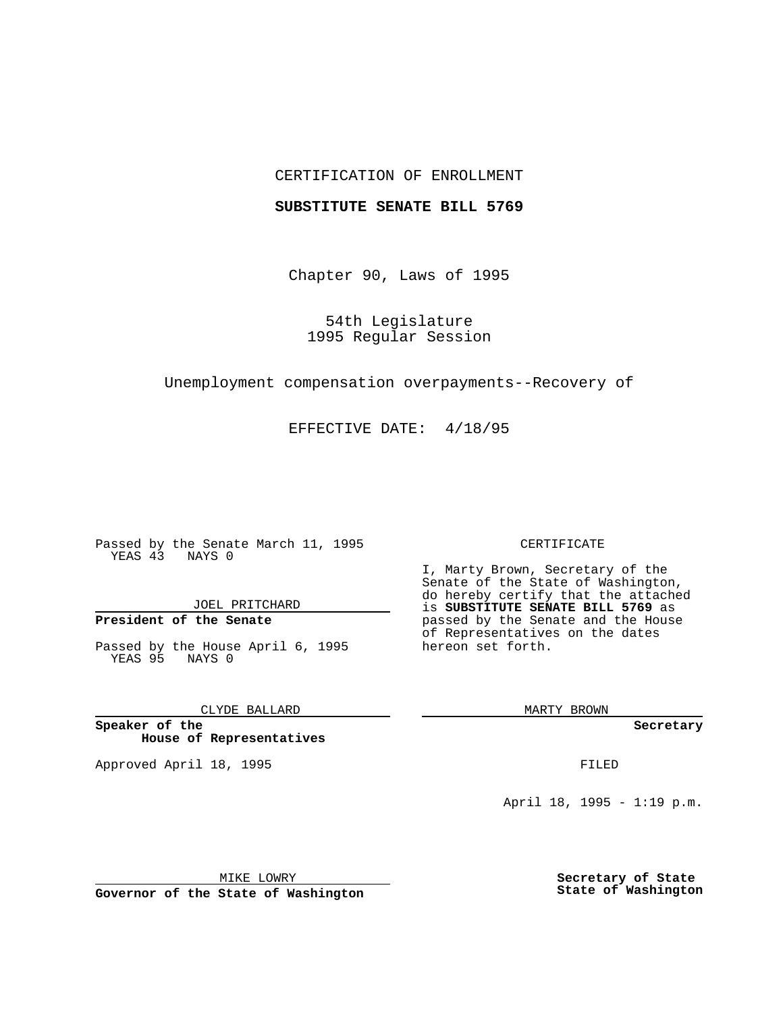## CERTIFICATION OF ENROLLMENT

## **SUBSTITUTE SENATE BILL 5769**

Chapter 90, Laws of 1995

54th Legislature 1995 Regular Session

Unemployment compensation overpayments--Recovery of

EFFECTIVE DATE: 4/18/95

Passed by the Senate March 11, 1995 YEAS 43 NAYS 0

JOEL PRITCHARD

# **President of the Senate**

Passed by the House April 6, 1995 YEAS 95 NAYS 0

CLYDE BALLARD

**Speaker of the House of Representatives**

Approved April 18, 1995 FILED

#### CERTIFICATE

I, Marty Brown, Secretary of the Senate of the State of Washington, do hereby certify that the attached is **SUBSTITUTE SENATE BILL 5769** as passed by the Senate and the House of Representatives on the dates hereon set forth.

MARTY BROWN

**Secretary**

April 18, 1995 - 1:19 p.m.

MIKE LOWRY

**Governor of the State of Washington**

**Secretary of State State of Washington**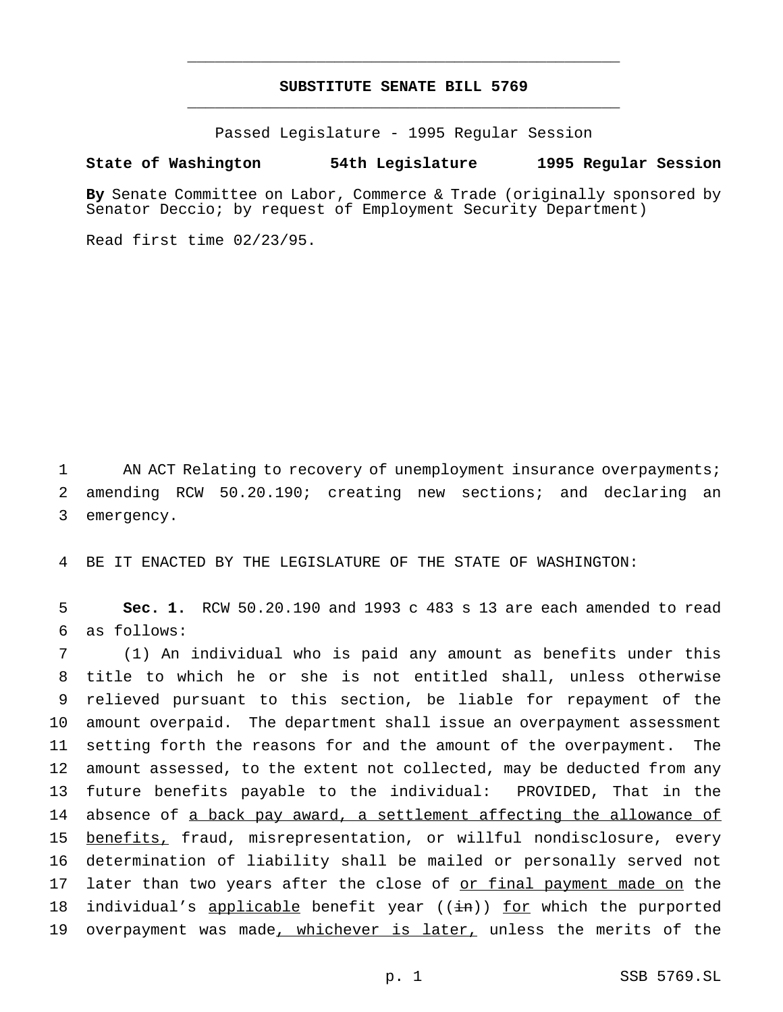## **SUBSTITUTE SENATE BILL 5769** \_\_\_\_\_\_\_\_\_\_\_\_\_\_\_\_\_\_\_\_\_\_\_\_\_\_\_\_\_\_\_\_\_\_\_\_\_\_\_\_\_\_\_\_\_\_\_

\_\_\_\_\_\_\_\_\_\_\_\_\_\_\_\_\_\_\_\_\_\_\_\_\_\_\_\_\_\_\_\_\_\_\_\_\_\_\_\_\_\_\_\_\_\_\_

Passed Legislature - 1995 Regular Session

### **State of Washington 54th Legislature 1995 Regular Session**

**By** Senate Committee on Labor, Commerce & Trade (originally sponsored by Senator Deccio; by request of Employment Security Department)

Read first time 02/23/95.

1 AN ACT Relating to recovery of unemployment insurance overpayments; 2 amending RCW 50.20.190; creating new sections; and declaring an 3 emergency.

4 BE IT ENACTED BY THE LEGISLATURE OF THE STATE OF WASHINGTON:

5 **Sec. 1.** RCW 50.20.190 and 1993 c 483 s 13 are each amended to read 6 as follows:

 (1) An individual who is paid any amount as benefits under this title to which he or she is not entitled shall, unless otherwise relieved pursuant to this section, be liable for repayment of the amount overpaid. The department shall issue an overpayment assessment setting forth the reasons for and the amount of the overpayment. The amount assessed, to the extent not collected, may be deducted from any future benefits payable to the individual: PROVIDED, That in the 14 absence of a back pay award, a settlement affecting the allowance of benefits, fraud, misrepresentation, or willful nondisclosure, every determination of liability shall be mailed or personally served not 17 later than two years after the close of or final payment made on the 18 individual's applicable benefit year  $((\text{in}))$  for which the purported 19 overpayment was made, whichever is later, unless the merits of the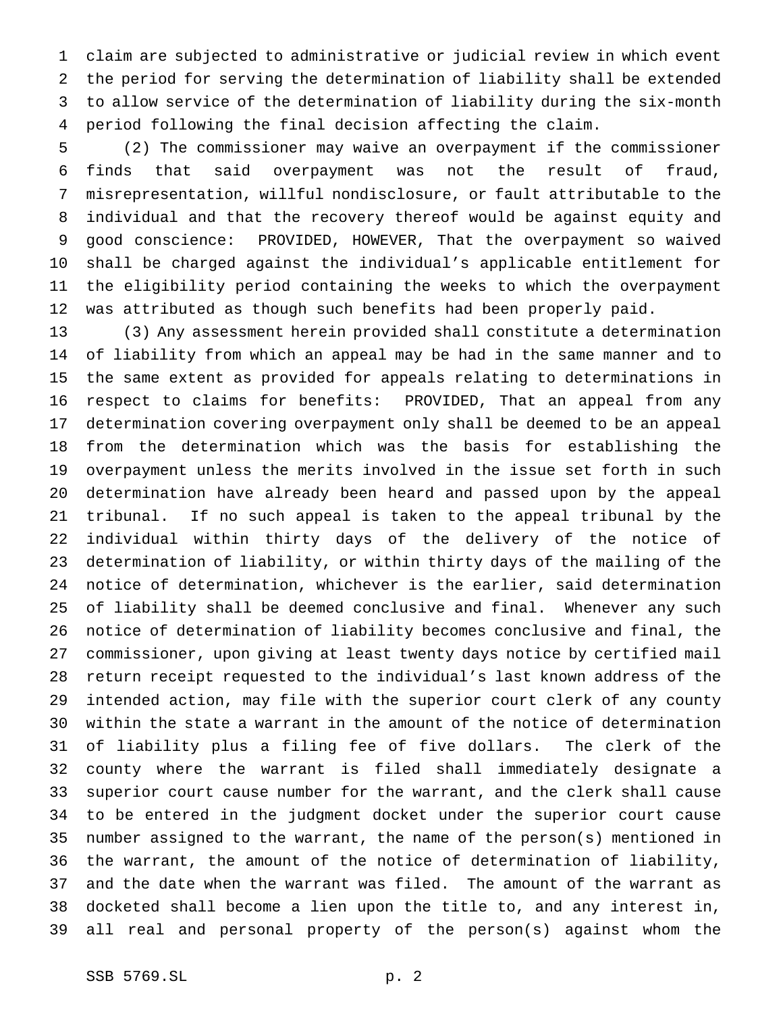claim are subjected to administrative or judicial review in which event the period for serving the determination of liability shall be extended to allow service of the determination of liability during the six-month period following the final decision affecting the claim.

 (2) The commissioner may waive an overpayment if the commissioner finds that said overpayment was not the result of fraud, misrepresentation, willful nondisclosure, or fault attributable to the individual and that the recovery thereof would be against equity and good conscience: PROVIDED, HOWEVER, That the overpayment so waived shall be charged against the individual's applicable entitlement for the eligibility period containing the weeks to which the overpayment was attributed as though such benefits had been properly paid.

 (3) Any assessment herein provided shall constitute a determination of liability from which an appeal may be had in the same manner and to the same extent as provided for appeals relating to determinations in respect to claims for benefits: PROVIDED, That an appeal from any determination covering overpayment only shall be deemed to be an appeal from the determination which was the basis for establishing the overpayment unless the merits involved in the issue set forth in such determination have already been heard and passed upon by the appeal tribunal. If no such appeal is taken to the appeal tribunal by the individual within thirty days of the delivery of the notice of determination of liability, or within thirty days of the mailing of the notice of determination, whichever is the earlier, said determination of liability shall be deemed conclusive and final. Whenever any such notice of determination of liability becomes conclusive and final, the commissioner, upon giving at least twenty days notice by certified mail return receipt requested to the individual's last known address of the intended action, may file with the superior court clerk of any county within the state a warrant in the amount of the notice of determination of liability plus a filing fee of five dollars. The clerk of the county where the warrant is filed shall immediately designate a superior court cause number for the warrant, and the clerk shall cause to be entered in the judgment docket under the superior court cause number assigned to the warrant, the name of the person(s) mentioned in the warrant, the amount of the notice of determination of liability, and the date when the warrant was filed. The amount of the warrant as docketed shall become a lien upon the title to, and any interest in, all real and personal property of the person(s) against whom the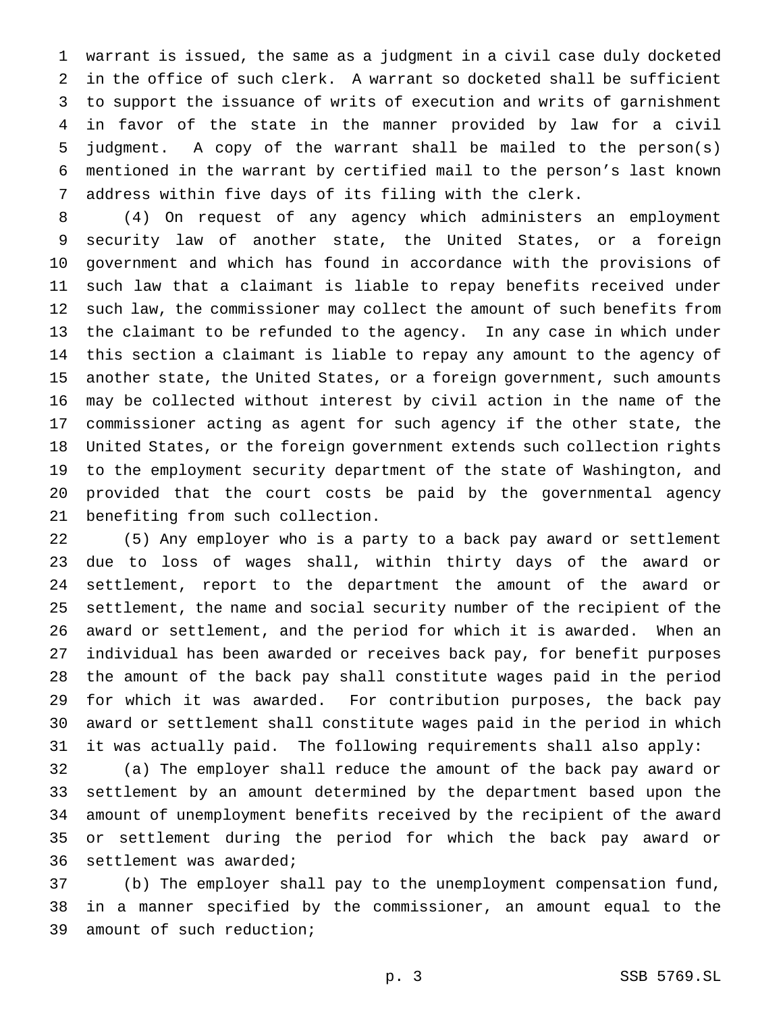warrant is issued, the same as a judgment in a civil case duly docketed in the office of such clerk. A warrant so docketed shall be sufficient to support the issuance of writs of execution and writs of garnishment in favor of the state in the manner provided by law for a civil judgment. A copy of the warrant shall be mailed to the person(s) mentioned in the warrant by certified mail to the person's last known address within five days of its filing with the clerk.

 (4) On request of any agency which administers an employment security law of another state, the United States, or a foreign government and which has found in accordance with the provisions of such law that a claimant is liable to repay benefits received under such law, the commissioner may collect the amount of such benefits from the claimant to be refunded to the agency. In any case in which under this section a claimant is liable to repay any amount to the agency of another state, the United States, or a foreign government, such amounts may be collected without interest by civil action in the name of the commissioner acting as agent for such agency if the other state, the United States, or the foreign government extends such collection rights to the employment security department of the state of Washington, and provided that the court costs be paid by the governmental agency benefiting from such collection.

 (5) Any employer who is a party to a back pay award or settlement due to loss of wages shall, within thirty days of the award or settlement, report to the department the amount of the award or settlement, the name and social security number of the recipient of the award or settlement, and the period for which it is awarded. When an individual has been awarded or receives back pay, for benefit purposes the amount of the back pay shall constitute wages paid in the period for which it was awarded. For contribution purposes, the back pay award or settlement shall constitute wages paid in the period in which it was actually paid. The following requirements shall also apply:

 (a) The employer shall reduce the amount of the back pay award or settlement by an amount determined by the department based upon the amount of unemployment benefits received by the recipient of the award or settlement during the period for which the back pay award or settlement was awarded;

 (b) The employer shall pay to the unemployment compensation fund, in a manner specified by the commissioner, an amount equal to the amount of such reduction;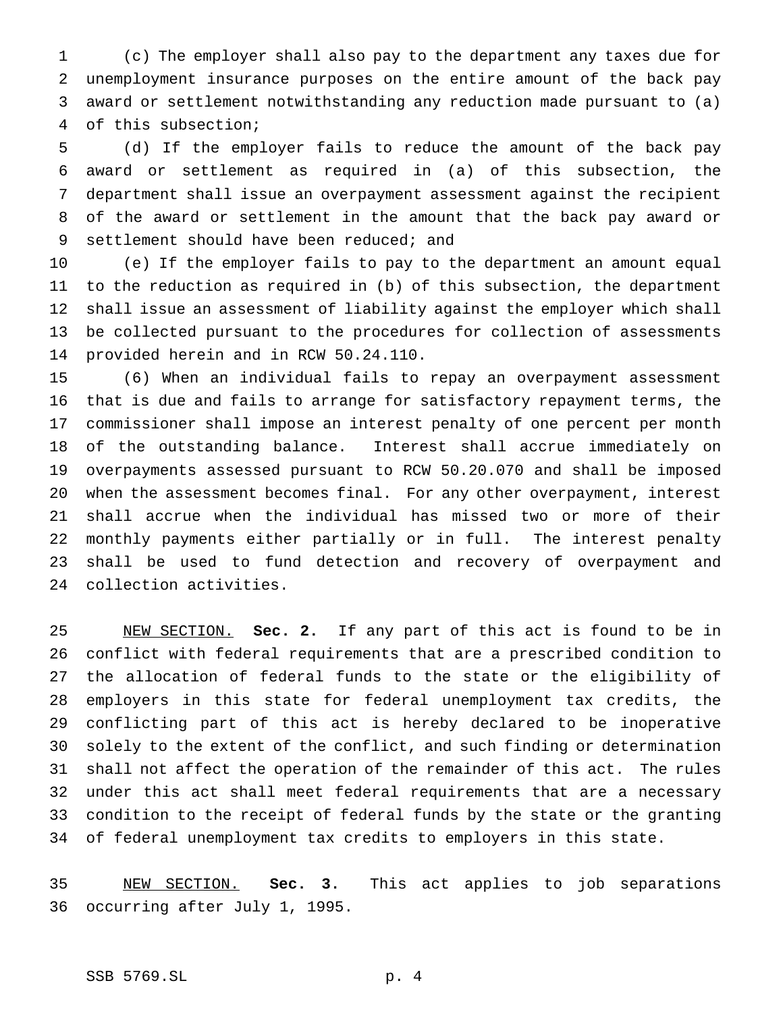(c) The employer shall also pay to the department any taxes due for unemployment insurance purposes on the entire amount of the back pay award or settlement notwithstanding any reduction made pursuant to (a) of this subsection;

 (d) If the employer fails to reduce the amount of the back pay award or settlement as required in (a) of this subsection, the department shall issue an overpayment assessment against the recipient of the award or settlement in the amount that the back pay award or 9 settlement should have been reduced; and

 (e) If the employer fails to pay to the department an amount equal to the reduction as required in (b) of this subsection, the department shall issue an assessment of liability against the employer which shall be collected pursuant to the procedures for collection of assessments provided herein and in RCW 50.24.110.

 (6) When an individual fails to repay an overpayment assessment that is due and fails to arrange for satisfactory repayment terms, the commissioner shall impose an interest penalty of one percent per month of the outstanding balance. Interest shall accrue immediately on overpayments assessed pursuant to RCW 50.20.070 and shall be imposed when the assessment becomes final. For any other overpayment, interest shall accrue when the individual has missed two or more of their monthly payments either partially or in full. The interest penalty shall be used to fund detection and recovery of overpayment and collection activities.

 NEW SECTION. **Sec. 2.** If any part of this act is found to be in conflict with federal requirements that are a prescribed condition to the allocation of federal funds to the state or the eligibility of employers in this state for federal unemployment tax credits, the conflicting part of this act is hereby declared to be inoperative solely to the extent of the conflict, and such finding or determination shall not affect the operation of the remainder of this act. The rules under this act shall meet federal requirements that are a necessary condition to the receipt of federal funds by the state or the granting of federal unemployment tax credits to employers in this state.

 NEW SECTION. **Sec. 3.** This act applies to job separations occurring after July 1, 1995.

## SSB 5769.SL p. 4